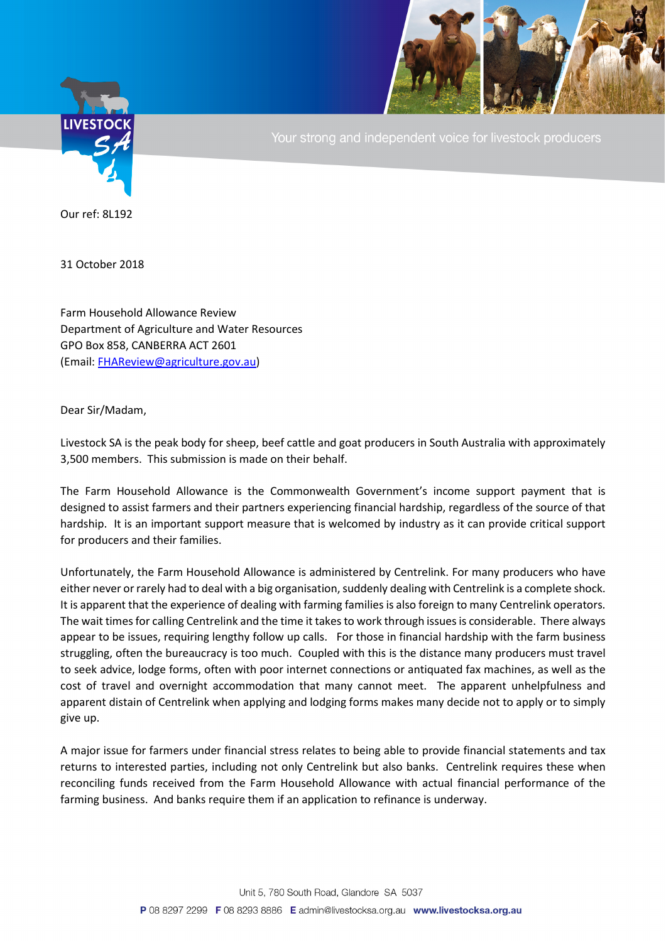

Your strong and independent voice for livestock producers

Our ref: 8L192

31 October 2018

Farm Household Allowance Review Department of Agriculture and Water Resources GPO Box 858, CANBERRA ACT 2601 (Email: [FHAReview@agriculture.gov.au\)](mailto:FHAReview@agriculture.gov.au)

Dear Sir/Madam,

Livestock SA is the peak body for sheep, beef cattle and goat producers in South Australia with approximately 3,500 members. This submission is made on their behalf.

The Farm Household Allowance is the Commonwealth Government's income support payment that is designed to assist farmers and their partners experiencing financial hardship, regardless of the source of that hardship. It is an important support measure that is welcomed by industry as it can provide critical support for producers and their families.

Unfortunately, the Farm Household Allowance is administered by Centrelink. For many producers who have either never or rarely had to deal with a big organisation, suddenly dealing with Centrelink is a complete shock. It is apparent that the experience of dealing with farming families is also foreign to many Centrelink operators. The wait times for calling Centrelink and the time it takes to work through issues is considerable. There always appear to be issues, requiring lengthy follow up calls. For those in financial hardship with the farm business struggling, often the bureaucracy is too much. Coupled with this is the distance many producers must travel to seek advice, lodge forms, often with poor internet connections or antiquated fax machines, as well as the cost of travel and overnight accommodation that many cannot meet. The apparent unhelpfulness and apparent distain of Centrelink when applying and lodging forms makes many decide not to apply or to simply give up.

A major issue for farmers under financial stress relates to being able to provide financial statements and tax returns to interested parties, including not only Centrelink but also banks. Centrelink requires these when reconciling funds received from the Farm Household Allowance with actual financial performance of the farming business. And banks require them if an application to refinance is underway.